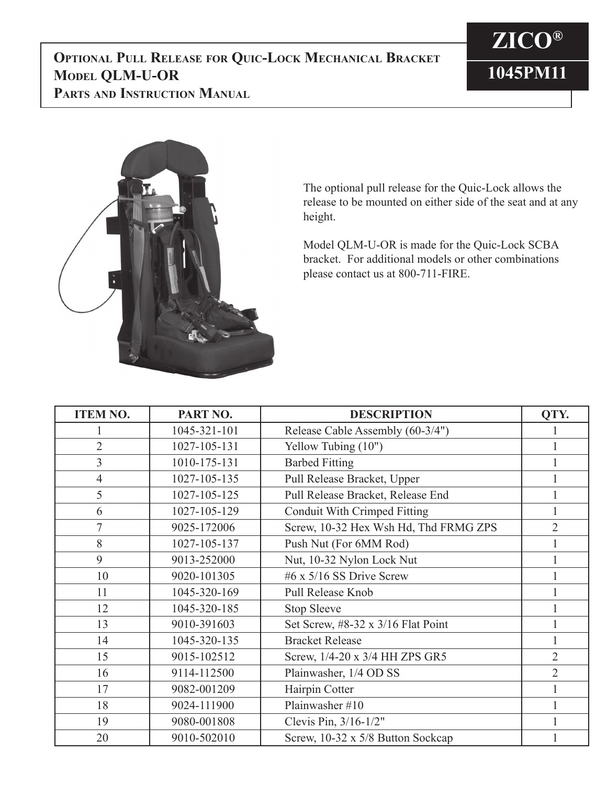



The optional pull release for the Quic-Lock allows the release to be mounted on either side of the seat and at any height.

Model QLM-U-OR is made for the Quic-Lock SCBA bracket. For additional models or other combinations please contact us at 800-711-FIRE.

| <b>ITEM NO.</b> | PART NO.     | <b>DESCRIPTION</b>                    | QTY.           |
|-----------------|--------------|---------------------------------------|----------------|
|                 | 1045-321-101 | Release Cable Assembly (60-3/4")      |                |
| $\overline{2}$  | 1027-105-131 | Yellow Tubing (10")                   |                |
| $\overline{3}$  | 1010-175-131 | <b>Barbed Fitting</b>                 |                |
| $\overline{4}$  | 1027-105-135 | Pull Release Bracket, Upper           |                |
| 5               | 1027-105-125 | Pull Release Bracket, Release End     |                |
| 6               | 1027-105-129 | Conduit With Crimped Fitting          | 1              |
| $\overline{7}$  | 9025-172006  | Screw, 10-32 Hex Wsh Hd, Thd FRMG ZPS | $\overline{2}$ |
| 8               | 1027-105-137 | Push Nut (For 6MM Rod)                | $\mathbf{1}$   |
| 9               | 9013-252000  | Nut, 10-32 Nylon Lock Nut             |                |
| 10              | 9020-101305  | #6 x $5/16$ SS Drive Screw            |                |
| 11              | 1045-320-169 | Pull Release Knob                     |                |
| 12              | 1045-320-185 | <b>Stop Sleeve</b>                    |                |
| 13              | 9010-391603  | Set Screw, #8-32 x 3/16 Flat Point    | 1              |
| 14              | 1045-320-135 | <b>Bracket Release</b>                | 1              |
| 15              | 9015-102512  | Screw, 1/4-20 x 3/4 HH ZPS GR5        | $\overline{2}$ |
| 16              | 9114-112500  | Plainwasher, 1/4 OD SS                | $\overline{2}$ |
| 17              | 9082-001209  | Hairpin Cotter                        |                |
| 18              | 9024-111900  | Plainwasher #10                       |                |
| 19              | 9080-001808  | Clevis Pin, 3/16-1/2"                 |                |
| 20              | 9010-502010  | Screw, 10-32 x 5/8 Button Sockcap     |                |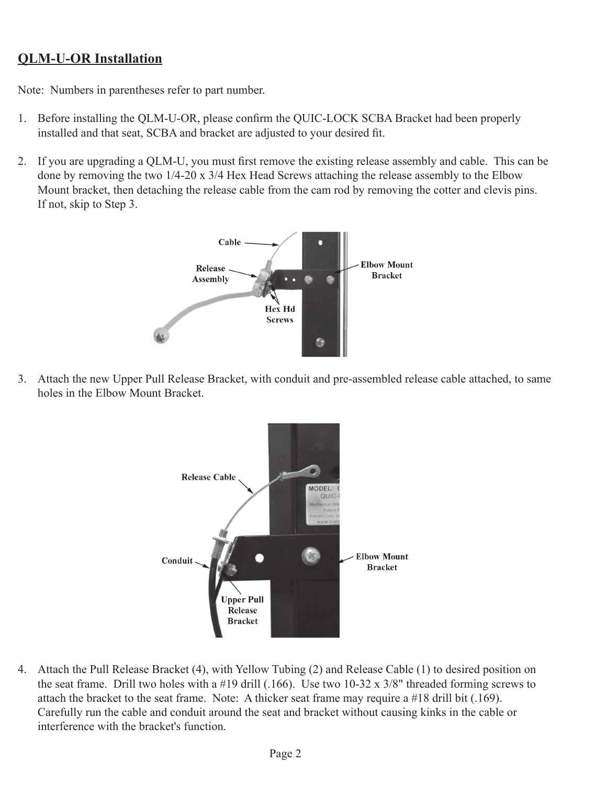## **QLM-U-OR Installation**

Note: Numbers in parentheses refer to part number.

- 1. Before installing the QLM-U-OR, please confirm the QUIC-LOCK SCBA Bracket had been properly installed and that seat, SCBA and bracket are adjusted to your desired fit.
- 2. If you are upgrading a QLM-U, you must first remove the existing release assembly and cable. This can be done by removing the two 1/4-20 x 3/4 Hex Head Screws attaching the release assembly to the Elbow Mount bracket, then detaching the release cable from the cam rod by removing the cotter and clevis pins. If not, skip to Step 3.



3. Attach the new Upper Pull Release Bracket, with conduit and pre-assembled release cable attached, to same holes in the Elbow Mount Bracket.



4. Attach the Pull Release Bracket (4), with Yellow Tubing (2) and Release Cable (1) to desired position on the seat frame. Drill two holes with a #19 drill (.166). Use two 10-32 x 3/8" threaded forming screws to attach the bracket to the seat frame. Note: A thicker seat frame may require a #18 drill bit (.169). Carefully run the cable and conduit around the seat and bracket without causing kinks in the cable or interference with the bracket's function.